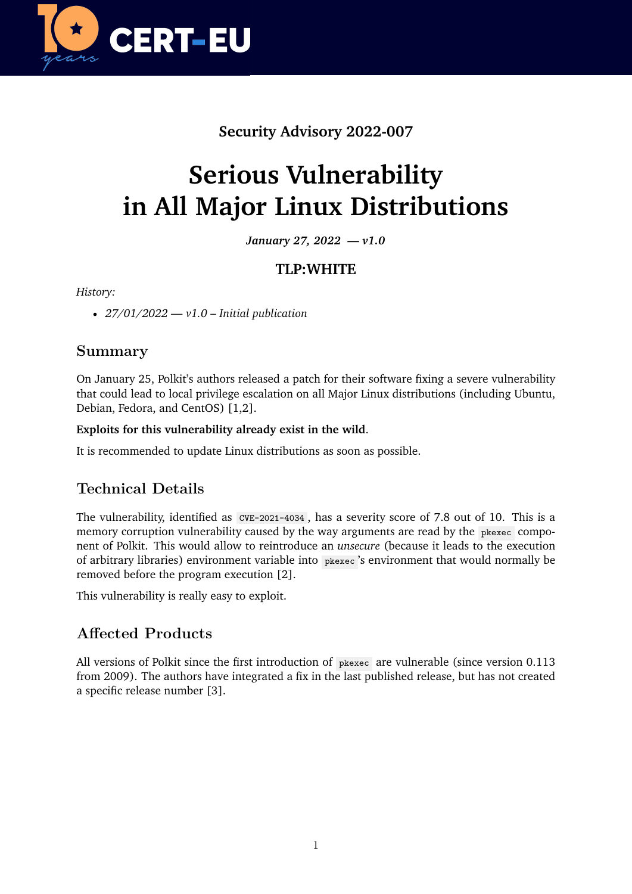

# **Security Advisory 2022-007**

# **Serious Vulnerability in All Major Linux Distributions**

*January 27, 2022 — v1.0*

## **TLP:WHITE**

*History:*

• *27/01/2022 — v1.0 – Initial publication*

## **Summary**

On January 25, Polkit's authors released a patch for their software fixing a severe vulnerability that could lead to local privilege escalation on all Major Linux distributions (including Ubuntu, Debian, Fedora, and CentOS) [1,2].

### **Exploits for this vulnerability already exist in the wild**.

It is recommended to update Linux distributions as soon as possible.

# **Technical Details**

The vulnerability, identified as CVE-2021-4034, has a severity score of 7.8 out of 10. This is a memory corruption vulnerability caused by the way arguments are read by the pkexec component of Polkit. This would allow to reintroduce an *unsecure* (because it leads to the execution of arbitrary libraries) environment variable into pkexec 's environment that would normally be removed before the program execution [2].

This vulnerability is really easy to exploit.

# **Affected Products**

All versions of Polkit since the first introduction of pkexec are vulnerable (since version 0.113 from 2009). The authors have integrated a fix in the last published release, but has not created a specific release number [3].